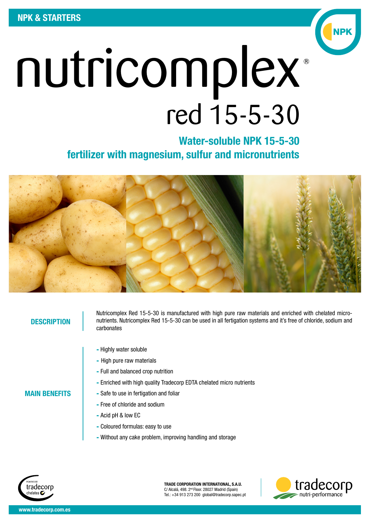

Water-soluble NPK 15-5-30 fertilizer with magnesium, sulfur and micronutrients



#### **DESCRIPTION**

MAIN BENEFITS

Nutricomplex Red 15-5-30 is manufactured with high pure raw materials and enriched with chelated micronutrients. Nutricomplex Red 15-5-30 can be used in all fertigation systems and it's free of chloride, sodium and carbonates

- Highly water soluble
- High pure raw materials
- Full and balanced crop nutrition
- Enriched with high quality Tradecorp EDTA chelated micro nutrients
- Safe to use in fertigation and foliar
- Free of chloride and sodium
- Acid pH & low EC
- Coloured formulas: easy to use
- Without any cake problem, improving handling and storage



TRADE CORPORATION INTERNATIONAL, S.A.U. C/ Alcalá, 498. 2nd Floor. 28027 Madrid (Spain) Tel.: +34 913 273 200 global@tradecorp.sapec.pt